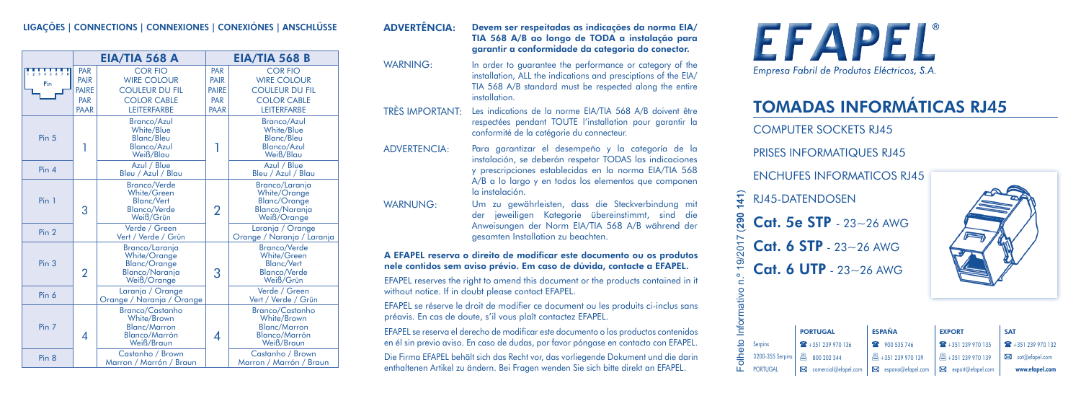## LIGAÇÕES | CONNECTIONS | CONNEXIONES | CONEXIÓNES | ANSCHLÜSSE

|                      | <b>EIA/TIA 568 A</b>                       |                                                                                                           | <b>EIA/TIA 568 B</b>                       |                                                                                                          |  |
|----------------------|--------------------------------------------|-----------------------------------------------------------------------------------------------------------|--------------------------------------------|----------------------------------------------------------------------------------------------------------|--|
| $\frac{1}{2}$<br>Pin | PAR<br>PAIR<br><b>PAIRE</b><br>PAR<br>PAAR | <b>COR FIO</b><br><b>WIRE COLOUR</b><br><b>COULEUR DU FIL</b><br><b>COLOR CABLE</b><br><b>LEITERFARBE</b> | PAR<br>PAIR<br><b>PAIRE</b><br>PAR<br>PAAR | <b>CORFIO</b><br><b>WIRE COLOUR</b><br><b>COULEUR DU FIL</b><br><b>COLOR CABLE</b><br><b>LEITERFARBE</b> |  |
| Pin <sub>5</sub>     |                                            | <b>Branco/Azul</b><br>White/Blue<br>Blanc/Bleu<br><b>Blanco/Azul</b><br>Weiß/Blau                         | 1                                          | <b>Branco/Azul</b><br>White/Blue<br>Blanc/Bleu<br><b>Blanco/Azul</b><br>Weiß/Blau                        |  |
| Pin 4                |                                            | Azul / Blue<br>Bleu / Azul / Blau                                                                         |                                            | Azul / Blue<br>Bleu / Azul / Blau                                                                        |  |
| Pin 1                | 3                                          | <b>Branco/Verde</b><br>White/Green<br><b>Blanc/Vert</b><br><b>Blanco/Verde</b><br>Weiß/Grün               | $\overline{2}$                             | Branco/Larania<br>White/Orange<br><b>Blanc/Orange</b><br><b>Blanco/Narania</b><br>Weiß/Orange            |  |
| Pin <sub>2</sub>     |                                            | Verde / Green<br>Vert / Verde / Grün                                                                      |                                            | Laranja / Orange<br>Orange / Naranja / Laranja                                                           |  |
| Pin <sub>3</sub>     | $\overline{2}$                             | Branco/Laranja<br>White/Orange<br><b>Blanc/Orange</b><br><b>Blanco/Naranja</b><br>Weiß/Orange             | 3                                          | <b>Branco/Verde</b><br>White/Green<br><b>Blanc/Vert</b><br><b>Blanco/Verde</b><br>Weiß/Grün              |  |
| Pin 6                |                                            | Laranja / Orange<br>Orange / Naranja / Orange                                                             |                                            | Verde / Green<br>Vert / Verde / Grün                                                                     |  |
| Pin 7                | $\overline{A}$                             | <b>Branco/Castanho</b><br>White/Brown<br><b>Blanc/Marron</b><br><b>Blanco/Marrón</b><br>Weiß/Braun        | 4                                          | <b>Branco/Castanho</b><br>White/Brown<br><b>Blanc/Marron</b><br><b>Blanco/Marrón</b><br>Weiß/Braun       |  |
| Pin 8                |                                            | Castanho / Brown<br>Marron / Marrón / Braun                                                               |                                            | Castanho / Brown<br>Marron / Marrón / Braun                                                              |  |

### ADVERTÊNCIA: Devem ser respeitadas as indicações da norma EIA/ TIA 568 A/B ao longo de TODA a instalação para garantir a conformidade da categoria do conector.

- WARNING: In order to guarantee the performance or category of the installation, ALL the indications and presciptions of the EIA/ TIA 568 A/B standard must be respected along the entire **installation**
- TRÈS IMPORTANT: Les indications de la norme EIA/TIA 568 A/B doivent être respectées pendant TOUTE l'installation pour garantir la conformité de la catégorie du connecteur.
- ADVERTENCIA: Para garantizar el desempeño y la categoría de la instalación, se deberán respetar TODAS las indicaciones y prescripciones establecidas en la norma EIA/TIA 568 A/B a lo largo y en todos los elementos que componen la instalación.
- WARNUNG: Um zu gewährleisten, dass die Steckverbindung mit der jeweiligen Kategorie übereinstimmt, sind die Anweisungen der Norm EIA/TIA 568 A/B während der gesamten Installation zu beachten.

### A EFAPEL reserva o direito de modificar este documento ou os produtos nele contidos sem aviso prévio. Em caso de dúvida, contacte a EFAPEL.

EFAPEL reserves the right to amend this document or the products contained in it without notice. If in doubt please contact EFAPEL.

EFAPEL se réserve le droit de modifier ce document ou les produits ci-inclus sans préavis. En cas de doute, s'il vous plaît contactez EFAPEL.

EFAPEL se reserva el derecho de modificar este documento o los productos contenidos en él sin previo aviso. En caso de dudas, por favor póngase en contacto con EFAPEL.

Die Firma EFAPEL behält sich das Recht vor, das vorliegende Dokument und die darin enthaltenen Artikel zu ändern. Bei Fragen wenden Sie sich bitte direkt an EFAPEL.



# TOMADAS INFORMÁTICAS RJ45

COMPUTER SOCKETS RJ45

**PRISES INFORMATIOUES RIAS** 

## ENCHUFES INFORMATICOS RI45



|                                 |                  | <b>RJ45-DATENDOSEN</b>     |                                   |                           |                       |
|---------------------------------|------------------|----------------------------|-----------------------------------|---------------------------|-----------------------|
| (290 141)                       |                  | Cat. 5e STP - 23~26 AWG    |                                   |                           |                       |
|                                 |                  | Cat. 6 STP - 23~26 AWG     |                                   |                           |                       |
|                                 |                  | Cat. 6 UTP - $23 - 26$ AWG |                                   |                           |                       |
|                                 |                  |                            |                                   |                           |                       |
|                                 |                  |                            |                                   |                           |                       |
|                                 |                  | <b>PORTUGAL</b>            | <b>ESPAÑA</b>                     | <b>EXPORT</b>             | <b>SAT</b>            |
| Folheto Informativo n.º 19/2017 | Serpins          | 136 + 351 239 970 136      | 900 535 746<br>œ                  | 22 +351 239 970 135       | 132 + 351 239 970 132 |
|                                 | 3200-355 Serpins | 트<br>800 202 344           | $\frac{18}{12} + 351$ 239 970 139 | $\equiv$ +351 239 970 139 | sat@efapel.com<br>巫   |
|                                 | <b>PORTUGAL</b>  | ⊠<br>comercial@efapel.com  | espana@efapel.com                 | export@efapel.com         | www.efapel.com        |